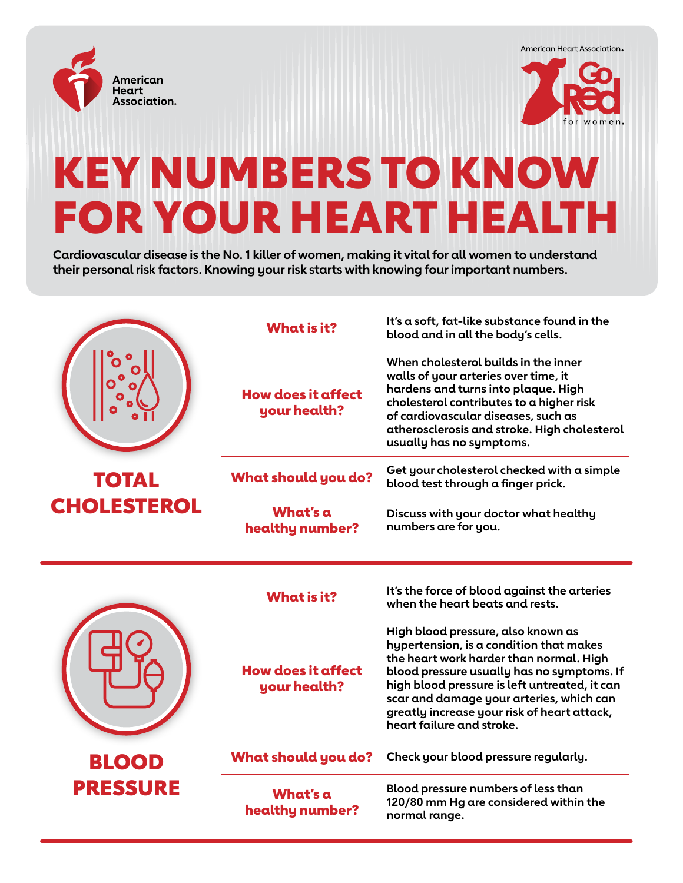





## KEY NUMBERS TO KNOW FOR YOUR HEART HEALTH

**Cardiovascular disease is the No. 1 killer of women, making it vital for all women to understand their personal risk factors. Knowing your risk starts with knowing four important numbers.** 

|                                 | <b>What is it?</b>                        | It's a soft, fat-like substance found in the<br>blood and in all the body's cells.                                                                                                                                                                                                                                                              |
|---------------------------------|-------------------------------------------|-------------------------------------------------------------------------------------------------------------------------------------------------------------------------------------------------------------------------------------------------------------------------------------------------------------------------------------------------|
|                                 | <b>How does it affect</b><br>your health? | When cholesterol builds in the inner<br>walls of your arteries over time, it<br>hardens and turns into plaque. High<br>cholesterol contributes to a higher risk<br>of cardiovascular diseases, such as<br>atherosclerosis and stroke. High cholesterol<br>usually has no symptoms.                                                              |
| <b>TOTAL</b>                    | <b>What should you do?</b>                | Get your cholesterol checked with a simple<br>blood test through a finger prick.                                                                                                                                                                                                                                                                |
| <b>CHOLESTEROL</b>              | What's a<br>healthy number?               | Discuss with your doctor what healthy<br>numbers are for you.                                                                                                                                                                                                                                                                                   |
|                                 | <b>What is it?</b>                        | It's the force of blood against the arteries<br>when the heart beats and rests.                                                                                                                                                                                                                                                                 |
|                                 | <b>How does it affect</b><br>your health? | High blood pressure, also known as<br>hypertension, is a condition that makes<br>the heart work harder than normal. High<br>blood pressure usually has no symptoms. If<br>high blood pressure is left untreated, it can<br>scar and damage your arteries, which can<br>greatly increase your risk of heart attack,<br>heart failure and stroke. |
| <b>BLOOD</b><br><b>PRESSURE</b> | <b>What should you do?</b>                | Check your blood pressure regularly.                                                                                                                                                                                                                                                                                                            |
|                                 | What's a<br>healthy number?               | Blood pressure numbers of less than<br>120/80 mm Hg are considered within the                                                                                                                                                                                                                                                                   |